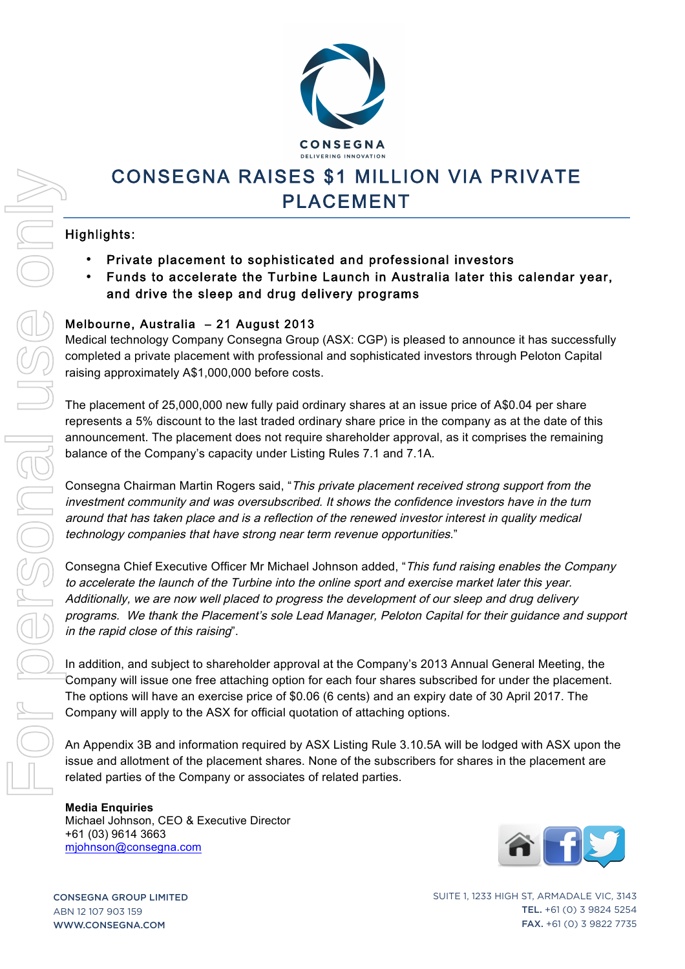

# CONSEGNA RAISES \$1 MILLION VIA PRIVATE PLACEMENT

#### Highlights:

- Private placement to sophisticated and professional investors
- Funds to accelerate the Turbine Launch in Australia later this calendar year, and drive the sleep and drug delivery programs

#### Melbourne, Australia – 21 August 2013

Medical technology Company Consegna Group (ASX: CGP) is pleased to announce it has successfully completed a private placement with professional and sophisticated investors through Peloton Capital raising approximately A\$1,000,000 before costs.

The placement of 25,000,000 new fully paid ordinary shares at an issue price of A\$0.04 per share represents a 5% discount to the last traded ordinary share price in the company as at the date of this announcement. The placement does not require shareholder approval, as it comprises the remaining balance of the Company's capacity under Listing Rules 7.1 and 7.1A.

Consegna Chairman Martin Rogers said, "This private placement received strong support from the investment community and was oversubscribed. It shows the confidence investors have in the turn around that has taken place and is a reflection of the renewed investor interest in quality medical technology companies that have strong near term revenue opportunities."

Consegna Chief Executive Officer Mr Michael Johnson added, "This fund raising enables the Company to accelerate the launch of the Turbine into the online sport and exercise market later this year. Additionally, we are now well placed to progress the development of our sleep and drug delivery programs. We thank the Placement's sole Lead Manager, Peloton Capital for their guidance and support in the rapid close of this raising".

In addition, and subject to shareholder approval at the Company's 2013 Annual General Meeting, the Company will issue one free attaching option for each four shares subscribed for under the placement. The options will have an exercise price of \$0.06 (6 cents) and an expiry date of 30 April 2017. The Company will apply to the ASX for official quotation of attaching options.

An Appendix 3B and information required by ASX Listing Rule 3.10.5A will be lodged with ASX upon the issue and allotment of the placement shares. None of the subscribers for shares in the placement are related parties of the Company or associates of related parties.

#### **Media Enquiries** Michael Johnson, CEO & Executive Director +61 (03) 9614 3663



CONSEGNA GROUP LIMITED ABN 12 107 903 159 WWW.CONSEGNA.COM

SUITE 1, 1233 HIGH ST, ARMADALE VIC, 3143 TEL. +61 (0) 3 9824 5254 FAX. +61 (0) 3 9822 7735